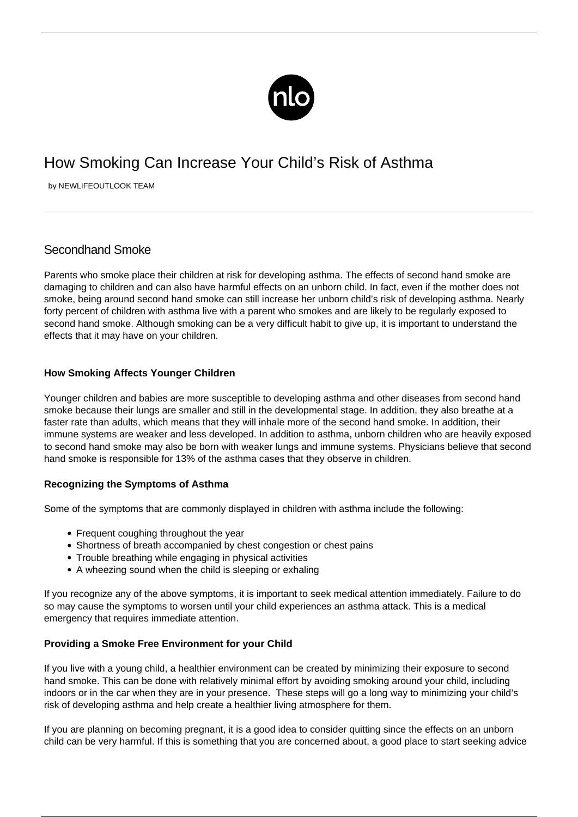

# How Smoking Can Increase Your Child's Risk of Asthma

by NEWLIFEOUTLOOK TEAM

# Secondhand Smoke

Parents who smoke place their children at risk for developing asthma. The effects of second hand smoke are damaging to children and can also have harmful effects on an unborn child. In fact, even if the mother does not smoke, being around second hand smoke can still increase her unborn child's risk of developing asthma. Nearly forty percent of children with asthma live with a parent who smokes and are likely to be regularly exposed to second hand smoke. Although smoking can be a very difficult habit to give up, it is important to understand the effects that it may have on your children.

## **How Smoking Affects Younger Children**

Younger children and babies are more susceptible to developing asthma and other diseases from second hand smoke because their lungs are smaller and still in the developmental stage. In addition, they also breathe at a faster rate than adults, which means that they will inhale more of the second hand smoke. In addition, their immune systems are weaker and less developed. In addition to asthma, unborn children who are heavily exposed to second hand smoke may also be born with weaker lungs and immune systems. Physicians believe that second hand smoke is responsible for 13% of the asthma cases that they observe in children.

### **Recognizing the Symptoms of Asthma**

Some of the symptoms that are commonly displayed in children with asthma include the following:

- Frequent coughing throughout the year
- Shortness of breath accompanied by chest congestion or chest pains
- Trouble breathing while engaging in physical activities
- A wheezing sound when the child is sleeping or exhaling

If you recognize any of the above symptoms, it is important to seek medical attention immediately. Failure to do so may cause the symptoms to worsen until your child experiences an asthma attack. This is a medical emergency that requires immediate attention.

### **Providing a Smoke Free Environment for your Child**

If you live with a young child, a healthier environment can be created by minimizing their exposure to second hand smoke. This can be done with relatively minimal effort by avoiding smoking around your child, including indoors or in the car when they are in your presence. These steps will go a long way to minimizing your child's risk of developing asthma and help create a healthier living atmosphere for them.

If you are planning on becoming pregnant, it is a good idea to consider quitting since the effects on an unborn child can be very harmful. If this is something that you are concerned about, a good place to start seeking advice